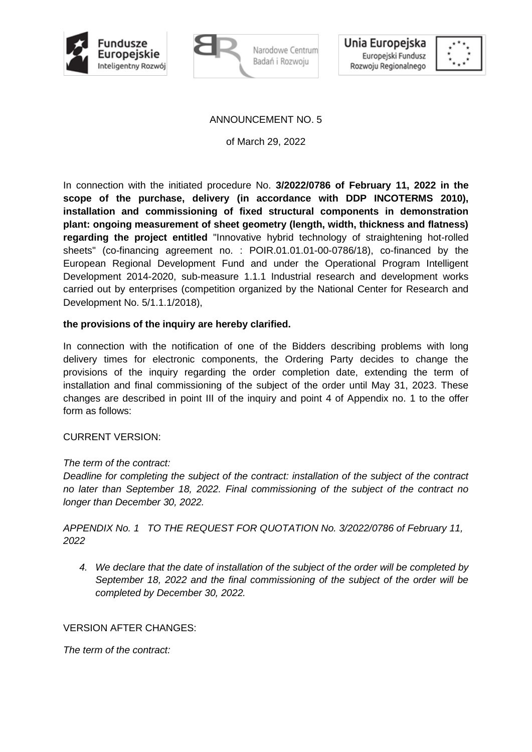



Narodowe Centrum Badań i Rozwoju



#### ANNOUNCEMENT NO. 5

of March 29, 2022

In connection with the initiated procedure No. **3/2022/0786 of February 11, 2022 in the scope of the purchase, delivery (in accordance with DDP INCOTERMS 2010), installation and commissioning of fixed structural components in demonstration plant: ongoing measurement of sheet geometry (length, width, thickness and flatness) regarding the project entitled** "Innovative hybrid technology of straightening hot-rolled sheets" (co-financing agreement no. : POIR.01.01.01-00-0786/18), co-financed by the European Regional Development Fund and under the Operational Program Intelligent Development 2014-2020, sub-measure 1.1.1 Industrial research and development works carried out by enterprises (competition organized by the National Center for Research and Development No. 5/1.1.1/2018),

#### **the provisions of the inquiry are hereby clarified.**

In connection with the notification of one of the Bidders describing problems with long delivery times for electronic components, the Ordering Party decides to change the provisions of the inquiry regarding the order completion date, extending the term of installation and final commissioning of the subject of the order until May 31, 2023. These changes are described in point III of the inquiry and point 4 of Appendix no. 1 to the offer form as follows:

#### CURRENT VERSION:

## *The term of the contract:*

*Deadline for completing the subject of the contract: installation of the subject of the contract no later than September 18, 2022. Final commissioning of the subject of the contract no longer than December 30, 2022.* 

*APPENDIX No. 1 TO THE REQUEST FOR QUOTATION No. 3/2022/0786 of February 11, 2022*

*4. We declare that the date of installation of the subject of the order will be completed by September 18, 2022 and the final commissioning of the subject of the order will be completed by December 30, 2022.*

## VERSION AFTER CHANGES:

*The term of the contract:*